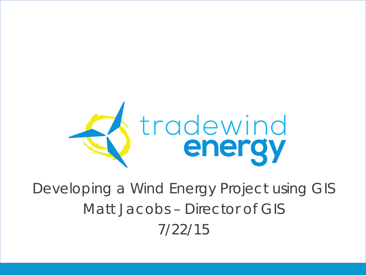

Developing a Wind Energy Project using GIS Matt Jacobs – Director of GIS 7/22/15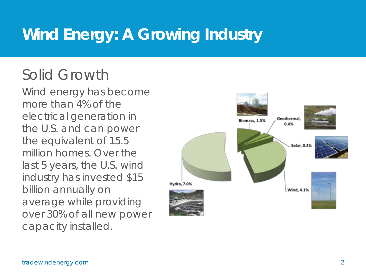### **Wind Energy: A Growing Industry**

#### Solid Growth

Wind energy has become more than 4% of the electrical generation in the U.S. and can power the equivalent of 15.5 million homes. Over the last 5 years, the U.S. wind industry has invested \$15 billion annually on average while providing over 30% of all new power capacity installed.

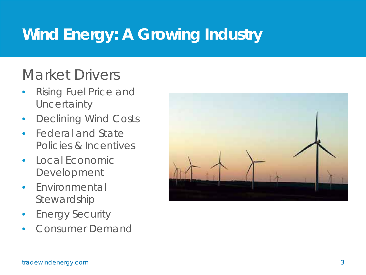### **Wind Energy: A Growing Industry**

#### Market Drivers

- Rising Fuel Price and **Uncertainty**
- Declining Wind Costs
- Federal and State Policies & Incentives
- Local Economic Development
- Environmental Stewardship
- Energy Security
- Consumer Demand

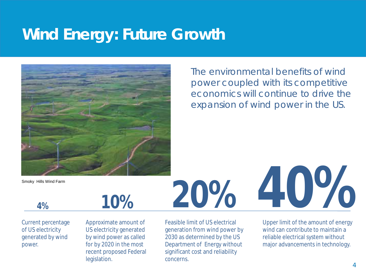#### **Wind Energy: Future Growth**



The environmental benefits of wind power coupled with its competitive economics will continue to drive the expansion of wind power in the US.

Smoky Hills Wind Farm

Current percentage of US electricity generated by wind power.

Approximate amount of US electricity generated by wind power as called for by 2020 in the most recent proposed Federal legislation.

Feasible limit of US electrical generation from wind power by 2030 as determined by the US Department of Energy without significant cost and reliability concerns.

Upper limit of the amount of energy wind can contribute to maintain a reliable electrical system without major advancements in technology.

**40%**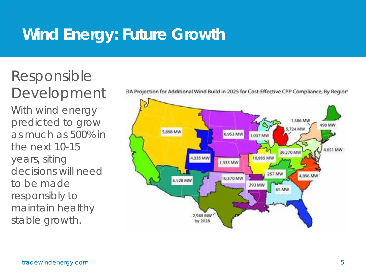### **Wind Energy: Future Growth**

### Responsible Development

With wind energy predicted to grow as much as 500% in the next 10-15 years, siting decisions will need to be made responsibly to maintain healthy stable growth.



EIA Projection for Additional Wind Build in 2025 for Cost-Effective CPP Compliance, By Regior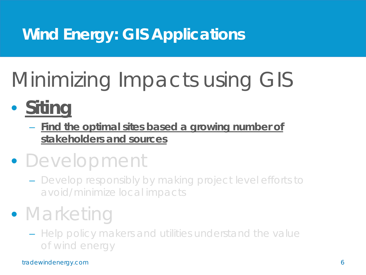### **Wind Energy: GIS Applications**

# Minimizing Impacts using GIS

### • **Siting**

– **Find the optimal sites based a growing number of stakeholders and sources** 

### • Development

– Develop responsibly by making project level efforts to avoid/minimize local impacts

### • Marketing

– Help policy makers and utilities understand the value of wind energy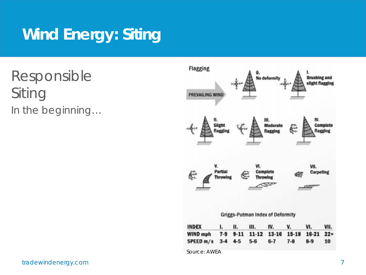Responsible Siting In the beginning…

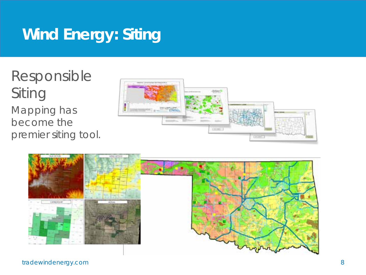Responsible Siting Mapping has become the premier siting tool.



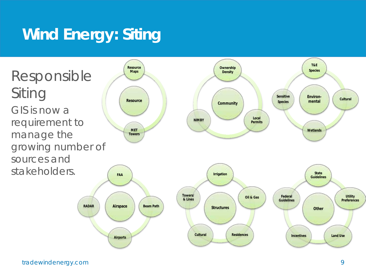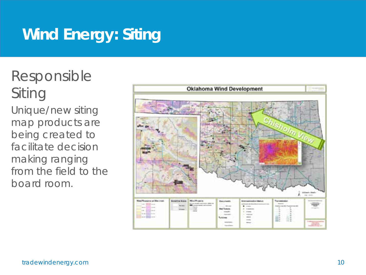### Responsible Siting

Unique/new siting map products are being created to facilitate decision making ranging from the field to the board room.

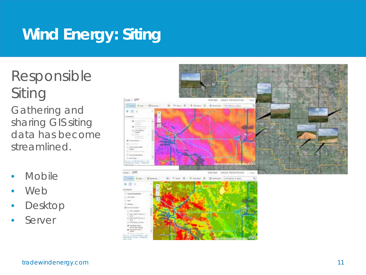Responsible Siting Gathering and sharing GIS siting data has become streamlined.

- **Mobile**
- Web
- Desktop
- **Server**

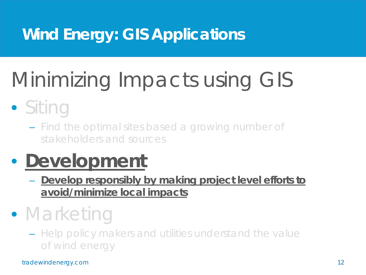### **Wind Energy: GIS Applications**

# Minimizing Impacts using GIS

### • Siting

– Find the optimal sites based a growing number of stakeholders and sources

### • **Development**

– **Develop responsibly by making project level efforts to avoid/minimize local impacts**

### • Marketing

– Help policy makers and utilities understand the value of wind energy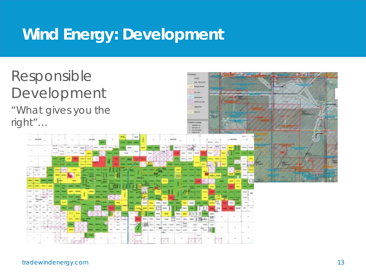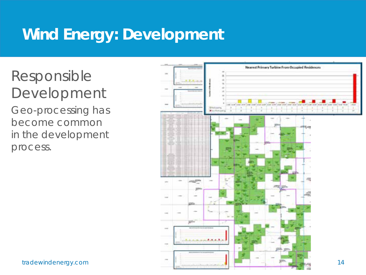### Responsible Development

Geo-processing has become common in the development process.

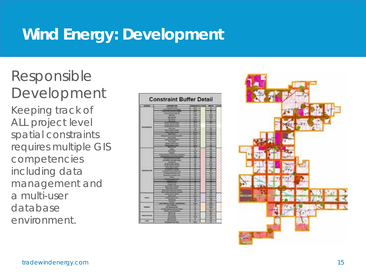### Responsible Development

Keeping track of ALL project level spatial constraints requires multiple GIS competencies including data management and a multi-user database environment.

| <b>Constraint Buffer Detail</b> |  |  |  |
|---------------------------------|--|--|--|
|                                 |  |  |  |
|                                 |  |  |  |
|                                 |  |  |  |
|                                 |  |  |  |
|                                 |  |  |  |
|                                 |  |  |  |
|                                 |  |  |  |
|                                 |  |  |  |
|                                 |  |  |  |
|                                 |  |  |  |

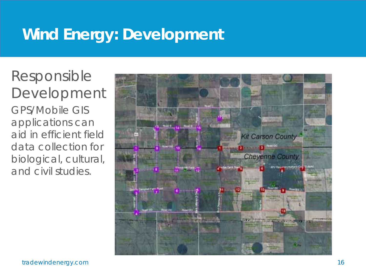Responsible Development GPS/Mobile GIS applications can aid in efficient field data collection for biological, cultural, and civil studies.

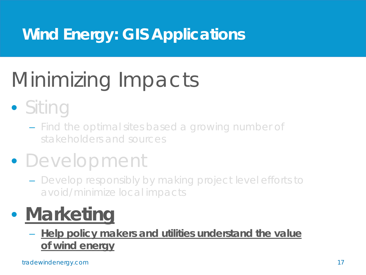### **Wind Energy: GIS Applications**

# Minimizing Impacts

## • Siting

– Find the optimal sites based a growing number of stakeholders and sources

### • Development

– Develop responsibly by making project level efforts to avoid/minimize local impacts

## • **Marketing**

– **Help policy makers and utilities understand the value of wind energy**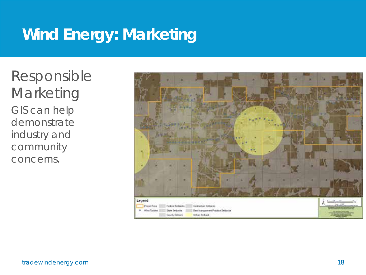### **Wind Energy: Marketing**

Responsible Marketing GIS can help demonstrate industry and community concerns.

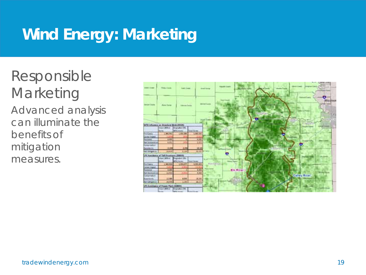### **Wind Energy: Marketing**

### Responsible Marketing

Advanced analysis can illuminate the benefits of mitigation measures.